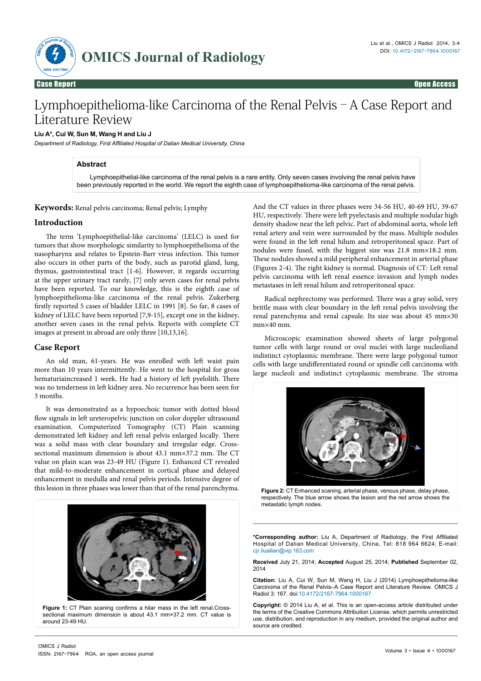

# Lymphoepithelioma-like Carcinoma of the Renal Pelvis–A Case Report and Literature Review

## **Liu A\*, Cui W, Sun M, Wang H and Liu J**

*Department of Radiology, First Affiliated Hospital of Dalian Medical University, China*

## **Abstract**

 Lymphoepithelial-like carcinoma of the renal pelvis is a rare entity. Only seven cases involving the renal pelvis have been previously reported in the world. We report the eighth case of lymphoepithelioma-like carcinoma of the renal pelvis.

**Keywords:** Renal pelvis carcinoma; Renal pelvis; Lymphy

#### **Introduction**

The term 'Lymphoepithelial-like carcinoma' (LELC) is used for tumors that show morphologic similarity to lymphoepithelioma of the nasopharynx and relates to Epstein-Barr virus infection. This tumor also occurs in other parts of the body, such as parotid gland, lung, thymus, gastrointestinal tract [1-6]. However, it regards occurring at the upper urinary tract rarely, [7] only seven cases for renal pelvis have been reported. To our knowledge, this is the eighth case of lymphoepithelioma-like carcinoma of the renal pelvis. Zukerberg firstly reported 5 cases of bladder LELC in 1991 [8]. So far, 8 cases of kidney of LELC have been reported [7,9-15], except one in the kidney, another seven cases in the renal pelvis. Reports with complete CT images at present in abroad are only three [10,13,16].

## **Case Report**

An old man, 61-years. He was enrolled with left waist pain more than 10 years intermittently. He went to the hospital for gross hematuriaincreased 1 week. He had a history of left pyelolith. There was no tenderness in left kidney area. No recurrence has been seen for 3 months.

It was demonstrated as a hypoechoic tumor with dotted blood flow signals in left ureteropelvic junction on color doppler ultrasound examination. Computerized Tomography (CT) Plain scanning demonstrated left kidney and left renal pelvis enlarged locally. There was a solid mass with clear boundary and irregular edge. Crosssectional maximum dimension is about 43.1 mm×37.2 mm. The CT value on plain scan was 23-49 HU (Figure 1). Enhanced CT revealed that mild-to-moderate enhancement in cortical phase and delayed enhancement in medulla and renal pelvis periods. Intensive degree of this lesion in three phases was lower than that of the renal parenchyma.



sectional maximum dimension is about 43.1 mm×37.2 mm. CT value is around 23-49 HU.

And the CT values in three phases were 34-56 HU, 40-69 HU, 39-67 HU, respectively. There were left pyelectasis and multiple nodular high density shadow near the left pelvic. Part of abdominal aorta, whole left renal artery and vein were surrounded by the mass. Multiple nodules were found in the left renal hilum and retroperitoneal space. Part of nodules were fused, with the biggest size was 21.8 mm×18.2 mm. These nodules showed a mild peripheral enhancement in arterial phase (Figures 2-4). The right kidney is normal. Diagnosis of CT: Left renal pelvis carcinoma with left renal essence invasion and lymph nodes metastases in left renal hilum and retroperitoneal space.

Radical nephrectomy was performed. There was a gray solid, very brittle mass with clear boundary in the left renal pelvis involving the renal parenchyma and renal capsule. Its size was about 45 mm×30 mm×40 mm.

Microscopic examination showed sheets of large polygonal tumor cells with large round or oval nuclei with large nucleoliand indistinct cytoplasmic membrane. There were large polygonal tumor cells with large undifferentiated round or spindle cell carcinoma with large nucleoli and indistinct cytoplasmic membrane. The stroma



**Figure 2:** CT Enhanced scaning, [arterial phase](app:ds:arterial phase), venous phase, delay phase, respectively. The blue arrow shows the lesion and the red arrow shows the metastatic lymph nodes.

**\*Corresponding author:** Liu A, Department of Radiology, the First Affiliated Hospital of Dalian Medical University, China, Tel: 818 964 6624; E-mail: cjr.liuailian@vip.163.com

**Received** July 21, 2014; **Accepted** August 25, 2014; **Published** September 02, 2014

**Citation:** Liu A, Cui W, Sun M, Wang H, Liu J (2014) Lymphoepithelioma-like Carcinoma of the Renal Pelvis–A Case Report and Literature Review. OMICS J Radiol 3: 167. doi:10.4172/2167-7964.1000167

**Copyright:** © 2014 Liu A, et al. This is an open-access article distributed under the terms of the Creative Commons Attribution License, which permits unrestricted use, distribution, and reproduction in any medium, provided the original author and source are credited.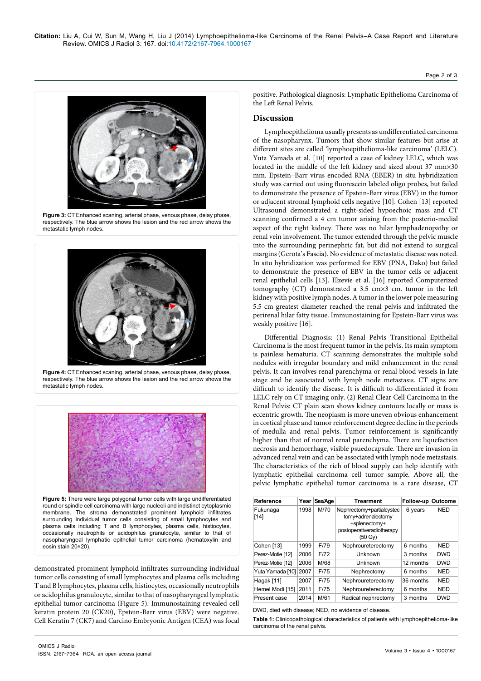

**Figure 3:** CT Enhanced scaning, [arterial phase,](app:ds:arterial phase) venous phase, delay phase, respectively. The blue arrow shows the lesion and the red arrow shows the metastatic lymph nodes.



**Figure 4:** CT Enhanced scaning, [arterial phase,](app:ds:arterial phase) venous phase, delay phase, respectively. The blue arrow shows the lesion and the red arrow shows the metastatic lymph nodes.



**Figure 5:** There were large polygonal tumor cells with large undifferentiated round or spindle cell carcinoma with large nucleoli and indistinct cytoplasmic membrane. The stroma demonstrated prominent lymphoid infiltrates surrounding individual tumor cells consisting of small lymphocytes and plasma cells including T and B lymphocytes, plasma cells, histiocytes, occasionally neutrophils or acidophilus granulocyte, similar to that of nasopharyngeal lymphatic epithelial tumor carcinoma (hematoxylin and eosin stain 20×20).

demonstrated prominent lymphoid infiltrates surrounding individual tumor cells consisting of small lymphocytes and plasma cells including T and B lymphocytes, plasma cells, histiocytes, occasionally neutrophils or acidophilus granulocyte, similar to that of nasopharyngeal lymphatic epithelial tumor carcinoma (Figure 5). Immunostaining revealed cell keratin protein 20 (CK20), Epstein-Barr virus (EBV) were negative. Cell Keratin 7 (CK7) and Carcino Embryonic Antigen (CEA) was focal

positive. Pathological diagnosis: Lymphatic Epithelioma Carcinoma of the Left Renal Pelvis.

# **Discussion**

Lymphoepithelioma usually presents as undifferentiated carcinoma of the nasopharynx. Tumors that show similar features but arise at different sites are called 'lymphoepithelioma-like carcinoma' (LELC). Yuta Yamada et al. [10] reported a case of kidney LELC, which was located in the middle of the left kidney and sized about 37 mm×30 mm. Epstein–Barr virus encoded RNA (EBER) in situ hybridization study was carried out using fluorescein labeled oligo probes, but failed to demonstrate the presence of Epstein-Barr virus (EBV) in the tumor or adjacent stromal lymphoid cells negative [10]. Cohen [13] reported Ultrasound demonstrated a right-sided hypoechoic mass and CT scanning confirmed a 4 cm tumor arising from the posterio-medial aspect of the right kidney. There was no hilar lymphadenopathy or renal vein involvement. The tumor extended through the pelvic muscle into the surrounding perinephric fat, but did not extend to surgical margins (Gerota's Fascia). No evidence of metastatic disease was noted. In situ hybridization was performed for EBV (PNA, Dako) but failed to demonstrate the presence of EBV in the tumor cells or adjacent renal epithelial cells [13]. Elzevie et al. [16] reported Computerized tomography (CT) demonstrated a 3.5 cm×3 cm. tumor in the left kidney with positive lymph nodes. A tumor in the lower pole measuring 5.5 cm greatest diameter reached the renal pelvis and infiltrated the perirenal hilar fatty tissue. Immunostaining for Epstein-Barr virus was weakly positive [16].

Differential Diagnosis: (1) Renal Pelvis Transitional Epithelial Carcinoma is the most frequent tumor in the pelvis. Its main symptom is painless hematuria. CT scanning demonstrates the multiple solid nodules with irregular boundary and mild enhancement in the renal pelvis. It can involves renal parenchyma or renal blood vessels in late stage and be associated with lymph node metastasis. CT signs are difficult to identify the disease. It is difficult to differentiated it from LELC rely on CT imaging only. (2) Renal Clear Cell Carcinoma in the Renal Pelvis: CT plain scan shows kidney contours locally or mass is eccentric growth. The neoplasm is more uneven obvious enhancement in cortical phase and tumor reinforcement degree decline in the periods of medulla and renal pelvis. Tumor reinforcement is significantly higher than that of normal renal parenchyma. There are liquefaction necrosis and hemorrhage, visible psuedocapsule. There are invasion in advanced renal vein and can be associated with lymph node metastasis. The characteristics of the rich of blood supply can help identify with lymphatic epithelial carcinoma cell tumor sample. Above all, the pelvic lymphatic epithelial tumor carcinoma is a rare disease, CT

| <b>Reference</b>   | Year | Sex/Age | <b>Trearment</b>                                                                                         | Follow-up | Outcome    |
|--------------------|------|---------|----------------------------------------------------------------------------------------------------------|-----------|------------|
| Fukunaga<br>$[14]$ | 1998 | M/70    | Nephrectomy+partialcystec<br>tomy+adrenalectomy<br>+splenectomy+<br>postoperativeradiotherapy<br>(50 Gv) | 6 years   | <b>NED</b> |
| Cohen [13]         | 1999 | F/79    | Nephroureterectomy                                                                                       | 6 months  | <b>NED</b> |
| Perez-Motie [12]   | 2006 | F/72    | Unknown                                                                                                  | 3 months  | <b>DWD</b> |
| Perez-Motie [12]   | 2006 | M/68    | Unknown                                                                                                  | 12 months | <b>DWD</b> |
| Yuta Yamada [10]   | 2007 | F/75    | Nephrectomy                                                                                              | 6 months  | <b>NED</b> |
| Hagak [11]         | 2007 | F/75    | Nephroureterectomy                                                                                       | 36 months | <b>NED</b> |
| Hemel Modi [15]    | 2011 | F/75    | Nephroureterectomy                                                                                       | 6 months  | <b>NED</b> |
| Present case       | 2014 | M/61    | Radical nephrectomy                                                                                      | 3 months  | <b>DWD</b> |

DWD, died with disease; NED, no evidence of disease.

**Table 1:** Clinicopathological characteristics of patients with lymphoepithelioma-like carcinoma of the renal pelvis.